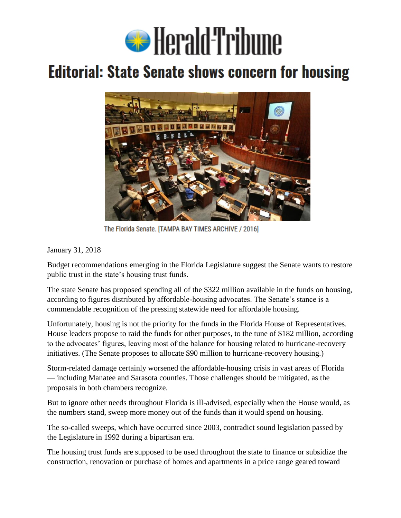

## **Editorial: State Senate shows concern for housing**



The Florida Senate. [TAMPA BAY TIMES ARCHIVE / 2016]

January 31, 2018

Budget recommendations emerging in the Florida Legislature suggest the Senate wants to restore public trust in the state's housing trust funds.

The state Senate has proposed spending all of the \$322 million available in the funds on housing, according to figures distributed by affordable-housing advocates. The Senate's stance is a commendable recognition of the pressing statewide need for affordable housing.

Unfortunately, housing is not the priority for the funds in the Florida House of Representatives. House leaders propose to raid the funds for other purposes, to the tune of \$182 million, according to the advocates' figures, leaving most of the balance for housing related to hurricane-recovery initiatives. (The Senate proposes to allocate \$90 million to hurricane-recovery housing.)

Storm-related damage certainly worsened the affordable-housing crisis in vast areas of Florida — including Manatee and Sarasota counties. Those challenges should be mitigated, as the proposals in both chambers recognize.

But to ignore other needs throughout Florida is ill-advised, especially when the House would, as the numbers stand, sweep more money out of the funds than it would spend on housing.

The so-called sweeps, which have occurred since 2003, contradict sound legislation passed by the Legislature in 1992 during a bipartisan era.

The housing trust funds are supposed to be used throughout the state to finance or subsidize the construction, renovation or purchase of homes and apartments in a price range geared toward